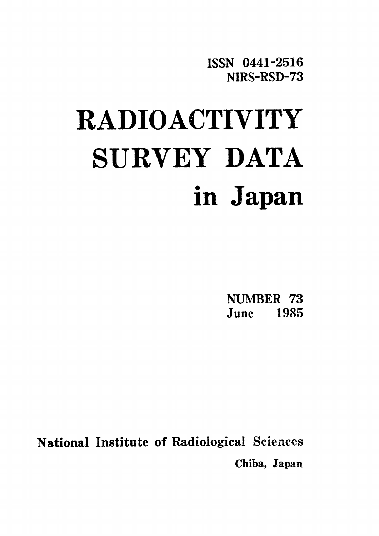ISSN 0441-2516 NIRS-RSD-73

# **RADIOACTIVITY** SURVEY DATA in Japan

NUMBER 73 June 1985

**National Institute of Radiological Sciences** Chiba, Japan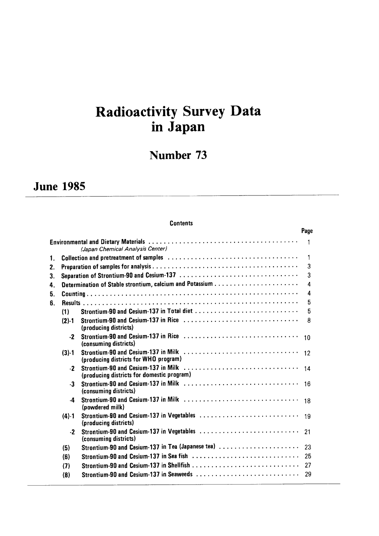# Radioactivity Survey Data in Japan

# Number 73

# **June 1985**

## **Contents**

|    |           |                                                                    | Page             |
|----|-----------|--------------------------------------------------------------------|------------------|
|    |           | (Japan Chemical Analysis Center)                                   | $\mathbf{1}$     |
| 1. |           |                                                                    | 1                |
| 2. |           |                                                                    | 3                |
| 3. |           |                                                                    | 3                |
| 4. |           |                                                                    | 4                |
| 5. |           |                                                                    | $\boldsymbol{A}$ |
| 6. |           |                                                                    | 5                |
|    | (1)       |                                                                    | 5                |
|    | $(2)-1$   | (producing districts)                                              | 8                |
|    | $-2$      | (consuming districts)                                              | 10               |
|    | $(3)-1$   | (producing districts for WHO program)                              |                  |
|    | $-2$      | (producing districts for domestic program)                         | 14               |
|    | $-3$      | (consuming districts)                                              | 16               |
|    | -4        | (powdered milk)                                                    | 18               |
|    | $(4) - 1$ | Strontium-90 and Cesium-137 in Vegetables<br>(producing districts) | 19               |
|    | $\cdot$   | Strontium-90 and Cesium-137 in Vegetables<br>(consuming districts) | 21               |
|    | (5)       | Strontium-90 and Cesium-137 in Tea (Japanese tea)                  | 23               |
|    | (6)       | Strontium-90 and Cesium-137 in Sea fish                            | 25               |
|    | (7)       |                                                                    | 27               |
|    | (8)       | Strontium-90 and Cesium-137 in Seaweeds                            | 29               |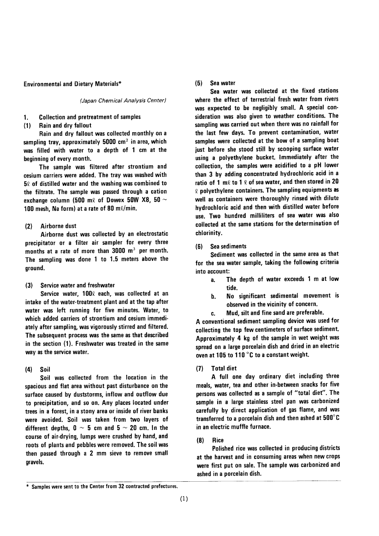#### **Environmental and Dietary Materials\***

(Japan Chemical Analysis Center)

**Collection and pretreatment of samples** 1.

Rain and dry fallout  $(1)$ 

Rain and dry fallout was collected monthly on a sampling tray, approximately 5000 cm<sup>2</sup> in area, which was filled with water to a depth of 1 cm at the beginning of every month.

The sample was filtered after strontium and cesium carriers were added. The tray was washed with  $5\ell$  of distilled water and the washing was combined to the filtrate. The sample was passed through a cation exchange column (500 m $\ell$  of Dowex 50W X8, 50  $\sim$ 100 mesh, Na form) at a rate of 80 ml/min.

#### Airborne dust  $(2)$

Airborne dust was collected by an electrostatic precipitator or a filter air sampler for every three months at a rate of more than 3000 m<sup>3</sup> per month. The sampling was done 1 to 1.5 meters above the ground.

Service water and freshwater  $(3)$ 

Service water, 1000 each, was collected at an intake of the water-treatment plant and at the tap after water was left running for five minutes. Water, to which added carriers of strontium and cesium immediately after sampling, was vigorously stirred and filtered. The subsequent process was the same as that described in the section (1). Freshwater was treated in the same way as the service water.

#### $(4)$ Soil

Soil was collected from the location in the spacious and flat area without past disturbance on the surface caused by duststorms, inflow and outflow due to precipitation, and so on. Any places located under trees in a forest, in a stony area or inside of river banks were avoided. Soil was taken from two layers of different depths, 0  $\sim$  5 cm and 5  $\sim$  20 cm. In the course of air-drying, lumps were crushed by hand, and roots of plants and pebbles were removed. The soil was then passed through a 2 mm sieve to remove small gravels.

#### Sea water  $(5)$

Sea water was collected at the fixed stations where the effect of terrestrial fresh water from rivers was expected to be negligibly small. A special consideration was also given to weather conditions. The sampling was carried out when there was no rainfall for the last few days. To prevent contamination, water samples were collected at the bow of a sampling boat just before she stood still by scooping surface water using a polyethylene bucket. Immediately after the collection, the samples were acidified to a pH lower than 3 by adding concentrated hydrochloric acid in a ratio of 1 m $\ell$  to 1  $\ell$  of sea water, and then stored in 20  $\ell$  polyethylene containers. The sampling equipments as well as containers were thoroughly rinsed with dilute hydrochloric acid and then with distilled water before use. Two hundred milliliters of sea water was also collected at the same stations for the determination of chlorinity.

#### $(6)$ Sea sediments

Sediment was collected in the same area as that for the sea water sample, taking the following criteria into account:

- The depth of water exceeds 1 m at low a. tide.
- No significant sedimental movement is  $\mathbf{b}$ . observed in the vicinity of concern.
- Mud. silt and fine sand are preferable. ċ.

A conventional sediment sampling device was used for collecting the top few centimeters of surface sediment. Approximately 4 kg of the sample in wet weight was spread on a large porcelain dish and dried in an electric oven at 105 to 110 °C to a constant weight.

**Total diet**  $(7)$ 

A full one day ordinary diet including three meals, water, tea and other in-between snacks for five persons was collected as a sample of "total diet". The sample in a large stainless steel pan was carbonized carefully by direct application of gas flame, and was transferred to a porcelain dish and then ashed at 500°C in an electric muffle furnace.

 $(8)$ **Rice** 

Polished rice was collected in producing districts at the harvest and in consuming areas when new crops were first put on sale. The sample was carbonized and ashed in a porcelain dish.

<sup>\*</sup> Samples were sent to the Center from 32 contracted prefectures.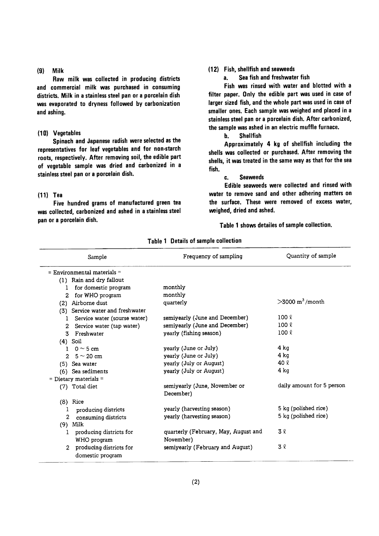#### $(9)$ **Milk**

Raw milk was collected in producing districts and commercial milk was purchased in consuming districts. Milk in a stainless steel pan or a porcelain dish was evaporated to dryness followed by carbonization and ashing.

#### (10) Vegetables

Spinach and Japanese radish were selected as the representatives for leaf vegetables and for non-starch roots, respectively. After removing soil, the edible part of vegetable sample was dried and carbonized in a stainless steel pan or a porcelain dish.

#### $(11)$  Tea

Five hundred grams of manufactured green tea was collected, carbonized and ashed in a stainless steel pan or a porcelain dish.

#### (12) Fish, shellfish and seaweeds

Sea fish and freshwater fish a.

Fish was rinsed with water and blotted with a filter paper. Only the edible part was used in case of larger sized fish, and the whole part was used in case of smaller ones. Each sample was weighed and placed in a stainless steel pan or a porcelain dish. After carbonized, the sample was ashed in an electric muffle furnace.

> **Shellfish**  $\mathbf{b}$ .

Approximately 4 kg of shellfish including the shells was collected or purchased. After removing the shells, it was treated in the same way as that for the sea fish.

#### **Seaweeds** c.

Edible seaweeds were collected and rinsed with water to remove sand and other adhering matters on the surface. These were removed of excess water, weighed, dried and ashed.

Table 1 shows detailes of sample collection.

| Sample                                      | Frequency of sampling                      | Quantity of sample         |
|---------------------------------------------|--------------------------------------------|----------------------------|
| $=$ Environmental materials $=$             |                                            |                            |
| (1) Rain and dry fallout                    |                                            |                            |
| for domestic program<br>1                   | monthly                                    |                            |
| for WHO program<br>2                        | monthly                                    |                            |
| Airborne dust<br>(2)                        | quarterly                                  | $>3000 \text{ m}^3$ /month |
| Service water and freshwater<br>(3)         |                                            |                            |
| Service water (sourse water)                | semiyearly (June and December)             | $100 \ell$                 |
| Service water (tap water)<br>$\overline{2}$ | semiyearly (June and December)             | $100 \ell$                 |
| Freshwater<br>3.                            | yearly (fishing season)                    | $100 \ell$                 |
| $(4)$ Soil                                  |                                            |                            |
| $0 \sim 5$ cm<br>T.                         | yearly (June or July)                      | $4$ kg                     |
| $5 \sim 20$ cm<br>$2^{\circ}$               | yearly (June or July)                      | 4 kg                       |
| (5) Sea water                               | yearly (July or August)                    | 40 R                       |
| (6) Sea sediments                           | yearly (July or August)                    | 4 <sub>kq</sub>            |
| $=$ Dietary materials $=$                   |                                            |                            |
| (7) Total diet                              | semiyearly (June, November or<br>December) | daily amount for 5 person  |
| $(8)$ Rice                                  |                                            |                            |
| producing districts                         | yearly (harvesting season)                 | 5 kg (polished rice)       |
| 2<br>consuming districts                    | yearly (harvesting season)                 | 5 kg (polished rice)       |
| Milk<br>(9)                                 |                                            |                            |
| producing districts for<br>1                | quarterly (February, May, August and       | 3 2                        |
| WHO program                                 | November)                                  |                            |
| producing districts for<br>domestic program | semiyearly (February and August)           | 3 l                        |

Table 1 Details of sample collection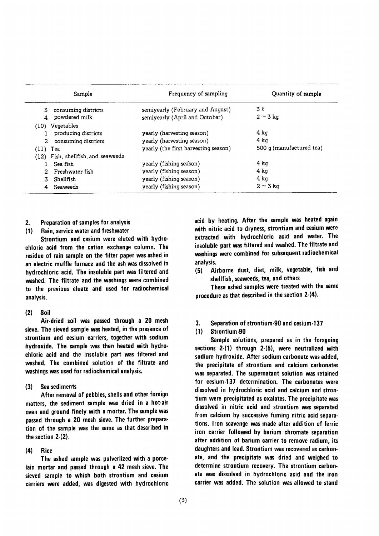|            | Sample                             | Frequency of sampling                | Quantity of sample       |  |  |
|------------|------------------------------------|--------------------------------------|--------------------------|--|--|
| 3          | consuming districts                | semiyearly (February and August)     | 3 l                      |  |  |
|            | powdered milk                      | semiyearly (April and October)       | $2 \sim 3$ kg            |  |  |
|            | (10) Vegetables                    |                                      |                          |  |  |
|            | producing districts                | yearly (harvesting season)           | 4 ka                     |  |  |
| $2 -$      | consuming districts                | yearly (harvesting season)           | 4 ka                     |  |  |
| $(11)$ Tea |                                    | yearly (the first harvesting season) | 500 g (manufactured tea) |  |  |
|            | (12) Fish, shellfish, and seaweeds |                                      |                          |  |  |
|            | Sea fish                           | yearly (fishing season)              | 4 ka                     |  |  |
|            | Freshwater fish                    | yearly (fishing season)              | 4 ka                     |  |  |
| З.         | Shellfish                          | yearly (fishing season)              | 4 ka                     |  |  |
| 4          | Seaweeds                           | yearly (fishing season)              | $2 \sim 3$ kg            |  |  |

- 2. Preparation of samples for analysis
- (1) Rain, service water and freshwater

Strontium and cesium were eluted with hydrochloric acid from the cation exchange column. The residue of rain sample on the filter paper was ashed in an electric muffle furnace and the ash was dissolved in hydrochloric acid. The insoluble part was filtered and washed. The filtrate and the washings were combined to the previous eluate and used for radiochemical analysis.

#### $(2)$  Soil

Air-dried soil was passed through a 20 mesh sieve. The sieved sample was heated, in the presence of strontium and cesium carriers, together with sodium hydroxide. The sample was then heated with hydrochloric acid and the insoluble part was filtered and washed. The combined solution of the filtrate and washings was used for radiochemical analysis.

 $(3)$ Sea sediments

After removal of pebbles, shells and other foreign matters, the sediment sample was dried in a hot-air oven and ground finely with a mortar. The sample was passed through a 20 mesh sieve. The further preparation of the sample was the same as that described in the section 2-(2).

#### $(4)$ Rice

The ashed sample was pulverlized with a porcelain mortar and passed through a 42 mesh sieve. The sieved sample to which both strontium and cesium carriers were added, was digested with hydrochloric acid by heating. After the sample was heated again with nitric acid to dryness, strontium and cesium were extracted with hydrochloric acid and water. The insoluble part was filtered and washed. The filtrate and washings were combined for subsequent radiochemical analysis.

(5) Airborne dust, diet, milk, vegetable, fish and shellfish, seaweeds, tea, and others

These ashed samples were treated with the same procedure as that described in the section 2-(4).

3. Separation of strontium-90 and cesium-137

#### (1) Strontium-90

Sample solutions, prepared as in the foregoing sections  $2-(1)$  through  $2-(5)$ , were neutralized with sodium hydroxide. After sodium carbonate was added, the precipitate of strontium and calcium carbonates was separated. The supernatant solution was retained for cesium-137 determination. The carbonates were dissolved in hydrochloric acid and calcium and strontium were precipitated as oxalates. The precipitate was dissolved in nitric acid and strontium was separated from calcium by successive fuming nitric acid separations. Iron scavenge was made after addition of ferric iron carrier followed by barium chromate separation after addition of barium carrier to remove radium, its daughters and lead. Strontium was recovered as carbonate, and the precipitate was dried and weighed to determine strontium recovery. The strontium carbonate was dissolved in hydrochloric acid and the iron carrier was added. The solution was allowed to stand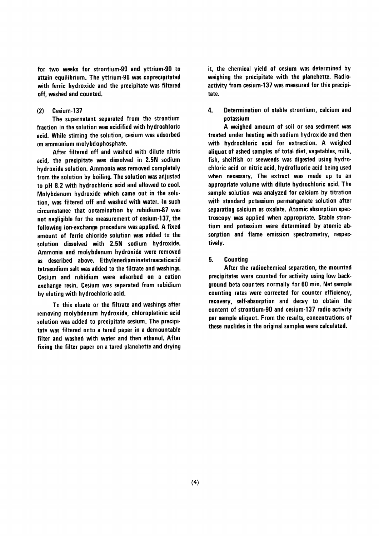for two weeks for strontium-90 and yttrium-90 to attain equilibrium. The yttrium-90 was coprecipitated with ferric hydroxide and the precipitate was filtered off, washed and counted.

#### $(2)$ Cesium-137

The supernatant separated from the strontium fraction in the solution was acidified with hydrochloric acid. While stirring the solution, cesium was adsorbed on ammonium molybdophosphate.

After filtered off and washed with dilute nitric acid, the precipitate was dissolved in 2.5N sodium hydroxide solution. Ammonia was removed completely from the solution by boiling. The solution was adjusted to pH 8.2 with hydrochloric acid and allowed to cool. Molybdenum hydroxide which came out in the solution, was filtered off and washed with water. In such circumstance that ontamination by rubidium-87 was not negligible for the measurement of cesium-137, the following ion-exchange procedure was applied. A fixed amount of ferric chloride solution was added to the solution dissolved with 2.5N sodium hydroxide. Ammonia and molybdenum hydroxide were removed as described above. Ethylenediaminetetraaceticacid tetrasodium salt was added to the filtrate and washings. Cesium and rubidium were adsorbed on a cation exchange resin. Cesium was separated from rubidium by eluting with hydrochloric acid.

To this eluate or the filtrate and washings after removing molybdenum hydroxide, chloroplatinic acid solution was added to precipitate cesium. The precipitate was filtered onto a tared paper in a demountable filter and washed with water and then ethanol. After fixing the filter paper on a tared planchette and drying it, the chemical yield of cesium was determined by weighing the precipitate with the planchette. Radioactivity from cesium-137 was measured for this precipitate.

4. Determination of stable strontium, calcium and notassium

A weighed amount of soil or sea sediment was treated under heating with sodium hydroxide and then with hydrochloric acid for extraction. A weighed aliquot of ashed samples of total diet, vegetables, milk, fish, shellfish or seeweeds was digested using hydrochloric acid or nitric acid, hydrofluoric acid being used when necessary. The extract was made up to an appropriate volume with dilute hydrochloric acid. The sample solution was analyzed for calcium by titration with standard potassium permanganate solution after separating calcium as oxalate. Atomic absorption spectroscopy was applied when appropriate. Stable strontium and potassium were determined by atomic absorption and flame emission spectrometry, respectively.

5. **Counting** 

After the radiochemical separation, the mounted precipitates were counted for activity using low background beta counters normally for 60 min. Net sample counting rates were corrected for counter efficiency, recovery, self-absorption and decay to obtain the content of strontium-90 and cesium-137 radio activity per sample aliquot. From the results, concentrations of these nuclides in the original samples were calculated.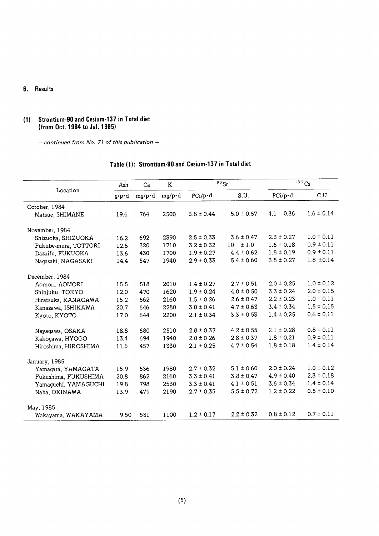## 6. Results

#### (1) Strontium-90 and Cesium-137 in Total diet (from Oct. 1984 to Jul. 1985)

- continued from No. 71 of this publication -

|                      | Ash           | Ca     | K              |                 | $\overline{90}$ Sr      |                 | $\overline{137}$ Cs |
|----------------------|---------------|--------|----------------|-----------------|-------------------------|-----------------|---------------------|
| Location             | $q/p \cdot d$ | mg/p·d | $mg/p \cdot d$ | $PCi/p \cdot d$ | S.U.                    | $PCi/p \cdot d$ | C.U.                |
| October, 1984        |               |        |                |                 |                         |                 |                     |
| Matsue, SHIMANE      | 19.6          | 764    | 2500           | $3.8 \pm 0.44$  | $5.0 \pm 0.57$          | $4.1 \pm 0.36$  | $1.6 \pm 0.14$      |
| November, 1984       |               |        |                |                 |                         |                 |                     |
| Shizuoka, SHIZUOKA   | 16.2          | 692    | 2390           | $2.5 \pm 0.33$  | $3.6 \pm 0.47$          | $2.3 \pm 0.27$  | $1.0 \pm 0.11$      |
| Fukube-mura, TOTTORI | 12.6          | 320    | 1710           | $3.2 \pm 0.32$  | ±1.0<br>10 <sup>°</sup> | $1.6 \pm 0.18$  | $0.9 \pm 0.11$      |
| Dazaifu, FUKUOKA     | 13.6          | 430    | 1700           | $1.9 \pm 0.27$  | $4.4 \pm 0.62$          | $1.5 \pm 0.19$  | $0.9 \pm 0.11$      |
| Nagasaki NAGASAKI    | 14.4          | 547    | 1940           | $2.9 \pm 0.33$  | $5.4 \pm 0.60$          | $3.5 \pm 0.27$  | $1.8 \pm 0.14$      |
| December, 1984       |               |        |                |                 |                         |                 |                     |
| Aomori, AOMORI       | 15.5          | 518    | 2010           | $1.4 \pm 0.27$  | $2.7 \pm 0.51$          | $2.0 \pm 0.25$  | $1.0 \pm 0.12$      |
| Shinjuku, TOKYO      | 12.0          | 470    | 1620           | $1.9 \pm 0.24$  | $4.0 \pm 0.50$          | $3.3 \pm 0.24$  | $2.0 \pm 0.15$      |
| Hiratsuka, KANAGAWA  | 15.2          | 562    | 2160           | $1.5 \pm 0.26$  | $2.6 \pm 0.47$          | $2.2 \pm 0.23$  | $1.0 \pm 0.11$      |
| Kanazawa, ISHIKAWA   | 20.7          | 646    | 2280           | $3.0 \pm 0.41$  | $4.7 \pm 0.63$          | $3.4 \pm 0.34$  | $1.5 \pm 0.15$      |
| Kyoto, KYOTO         | 17.0          | 644    | 2200           | $2.1 \pm 0.34$  | $3.3 \pm 0.53$          | $1.4 \pm 0.25$  | $0.6 \pm 0.11$      |
| Neyagawa, OSAKA      | 18.8          | 680    | 2510           | $2.8 \pm 0.37$  | $4.2 \pm 0.55$          | $2.1 \pm 0.28$  | $0.8 \pm 0.11$      |
| Kakogawa, HYOGO      | 13.4          | 694    | 1940           | $2.0 \pm 0.26$  | $2.8 \pm 0.37$          | $1.8 \pm 0.21$  | $0.9 \pm 0.11$      |
| Hiroshima, HIROSHIMA | 11.6          | 457    | 1330           | $2.1 \pm 0.25$  | $4.7 \pm 0.54$          | $1.8 \pm 0.18$  | $1.4 \pm 0.14$      |
| January, 1985        |               |        |                |                 |                         |                 |                     |
| Yamagata, YAMAGATA   | 15.9          | 536    | 1980           | $2.7 \pm 0.32$  | $5.1 \pm 0.60$          | $2.0 \pm 0.24$  | $1.0 \pm 0.12$      |
| Fukushima, FUKUSHIMA | 20.8          | 862    | 2160           | $3.3 \pm 0.41$  | $3.8 \pm 0.47$          | $4.9 \pm 0.40$  | $2.3 \pm 0.18$      |
| Yamaquchi, YAMAGUCHI | 19.8          | 798    | 2530           | $3.3 \pm 0.41$  | $4.1 \pm 0.51$          | $3.6 \pm 0.34$  | $1.4 \pm 0.14$      |
| Naha, OKINAWA        | 13.9          | 479    | 2190           | $2.7 \pm 0.35$  | $5.5 \pm 0.72$          | $1.2 \pm 0.22$  | $0.5 \pm 0.10$      |
| May, 1985            |               |        |                |                 |                         |                 |                     |
| Wakayama, WAKAYAMA   | 9.50          | 531    | 1100           | $1.2 \pm 0.17$  | $2.2 \pm 0.32$          | $0.8 \pm 0.12$  | $0.7 \pm 0.11$      |

# Table (1): Strontium-90 and Cesium-137 in Total diet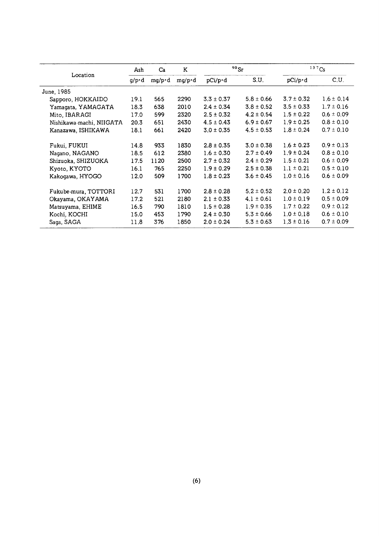|                          | Ash           | Ca             | 90Sr<br>K |                 |                | 137Cs           |                |  |
|--------------------------|---------------|----------------|-----------|-----------------|----------------|-----------------|----------------|--|
| Location                 | $q/p \cdot d$ | $mq/p \cdot d$ | mg/p·d    | $pCi/p \cdot d$ | S.U.           | $pCi/p \cdot d$ | C.U.           |  |
| June, 1985               |               |                |           |                 |                |                 |                |  |
| Sapporo, HOKKAIDO        | 19.1          | 565            | 2290      | $3.3 \pm 0.37$  | $5.8 \pm 0.66$ | $3.7 \pm 0.32$  | $1.6 \pm 0.14$ |  |
| Yamagata, YAMAGATA       | 18.3          | 638            | 2010      | $2.4 \pm 0.34$  | $3.8 \pm 0.52$ | $3.5 \pm 0.33$  | $1.7 \pm 0.16$ |  |
| Mito, IBARAGI            | 17.0          | 599            | 2320      | $2.5 \pm 0.32$  | $4.2 \pm 0.54$ | $1.5 \pm 0.22$  | $0.6 \pm 0.09$ |  |
| Nishikawa-machi, NIIGATA | 20.3          | 651            | 2430      | $4.5 \pm 0.43$  | $6.9 \pm 0.67$ | $1.9 \pm 0.25$  | $0.8 \pm 0.10$ |  |
| Kanazawa, ISHIKAWA       | 18.1          | 661            | 2420      | $3.0 \pm 0.35$  | $4.5 \pm 0.53$ | $1.8 \pm 0.24$  | $0.7 \pm 0.10$ |  |
| Fukui, FUKUI             | 14.8          | 933            | 1830      | $2.8 \pm 0.35$  | $3.0 \pm 0.38$ | $1.6 \pm 0.23$  | $0.9 \pm 0.13$ |  |
| Nagano, NAGANO           | 18.5          | 612            | 2380      | $1.6 \pm 0.30$  | $2.7 \pm 0.49$ | $1.9 \pm 0.24$  | $0.8 \pm 0.10$ |  |
| Shizuoka, SHIZUOKA       | 17.5          | 1120           | 2500      | $2.7 \pm 0.32$  | $2.4 \pm 0.29$ | $1.5 \pm 0.21$  | $0.6 \pm 0.09$ |  |
| Kyoto, KYOTO             | 16.1          | 765            | 2250      | $1.9 \pm 0.29$  | $2.5 \pm 0.38$ | $1.1 \pm 0.21$  | $0.5 \pm 0.10$ |  |
| Kakogawa, HYOGO          | 12.0          | 509            | 1700      | $1.8 \pm 0.23$  | $3.6 \pm 0.45$ | $1.0 \pm 0.16$  | $0.6 \pm 0.09$ |  |
| Fukube-mura, TOTTORI     | 12.7          | 531            | 1700      | $2.8 \pm 0.28$  | $5.2 \pm 0.52$ | $2.0 \pm 0.20$  | $1.2 \pm 0.12$ |  |
| Okayama, OKAYAMA         | 17.2          | 521            | 2180      | $2.1 \pm 0.33$  | $4.1 \pm 0.61$ | $1.0 \pm 0.19$  | $0.5 \pm 0.09$ |  |
| Matsuyama, EHIME         | 16.5          | 790            | 1810      | $1.5 \pm 0.28$  | $1.9 \pm 0.35$ | $1.7 \pm 0.22$  | $0.9 \pm 0.12$ |  |
| Kochi, KOCHI             | 15.0          | 453            | 1790      | $2.4 \pm 0.30$  | $5.3 \pm 0.66$ | $1.0 \pm 0.18$  | $0.6 \pm 0.10$ |  |
| Saga, SAGA               | 11.8          | 376            | 1850      | $2.0 \pm 0.24$  | $5.3 \pm 0.63$ | $1.3 \pm 0.16$  | $0.7 \pm 0.09$ |  |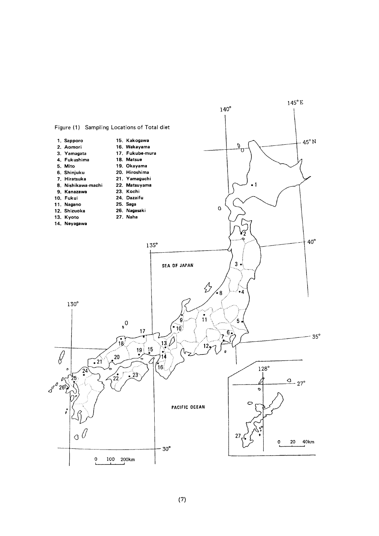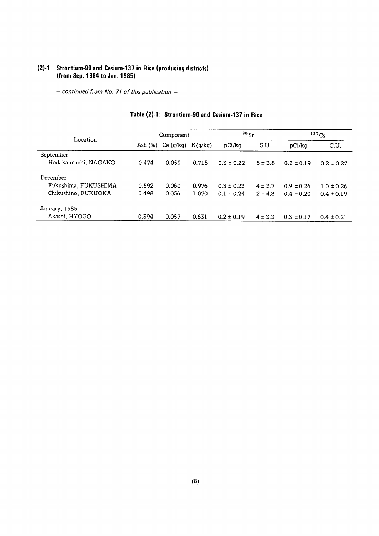#### (2)-1 Strontium-90 and Cesium-137 in Rice (producing distri (from Sep. 1984 to Jan. 19

- continued from No. 71 of this publication -

| Location             |         | Component |         | 90Sr           |             | $137C_S$       |                |
|----------------------|---------|-----------|---------|----------------|-------------|----------------|----------------|
|                      | Ash (%) | Ca(g/kg)  | K(q/kg) | pCi/kg         | S.U.        | pCi/kg         | C.U.           |
| September            |         |           |         |                |             |                |                |
| Hodaka-machi, NAGANO | 0.474   | 0.059     | 0.715   | $0.3 \pm 0.22$ | $5 \pm 3.8$ | $0.2 \pm 0.19$ | $0.2 \pm 0.27$ |
| December             |         |           |         |                |             |                |                |
| Fukushima, FUKUSHIMA | 0.592   | 0.060     | 0.976   | $0.3 \pm 0.23$ | $4 \pm 3.7$ | $0.9 \pm 0.26$ | $1.0 \pm 0.26$ |
| Chikushino, FUKUOKA  | 0.498   | 0.056     | 1.070   | $0.1 \pm 0.24$ | $2 \pm 4.3$ | $0.4 \pm 0.20$ | $0.4 \pm 0.19$ |
| January, 1985        |         |           |         |                |             |                |                |
| Akashi, HYOGO        | 0.394   | 0.057     | 0.831   | $0.2 \pm 0.19$ | $4 \pm 3.3$ | $0.3 \pm 0.17$ | $0.4 \pm 0.21$ |

## Table (2)-1: Strontium-90 and Cesium-137 in Rice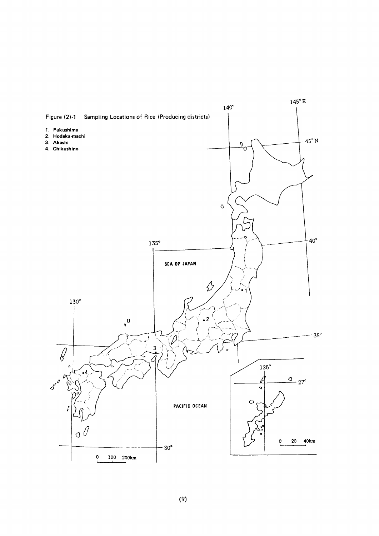

 $(9)$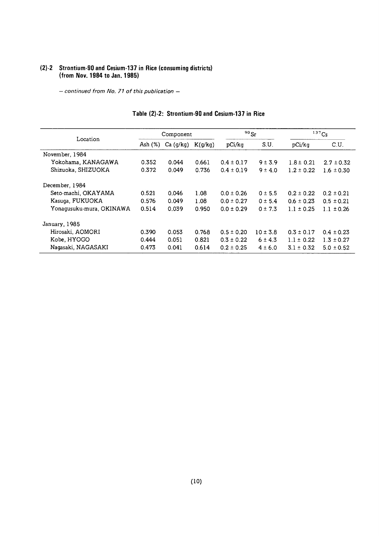#### (2)-2 Strontium-90 and Cesium-137 in Rice (consuming distric (from Nov. 1984 to Jan. 19

- continued from No. 71 of this publication -

|                          |            | Component |         | $90$ Sr        |              | 137Cs          |                |
|--------------------------|------------|-----------|---------|----------------|--------------|----------------|----------------|
| Location                 | Ash $(\%)$ | Ca (q/kg) | K(g/kg) | pCi/kq         | S.U.         | pCi/kq         | C.U.           |
| November, 1984           |            |           |         |                |              |                |                |
| Yokohama, KANAGAWA       | 0.352      | 0.044     | 0.661   | $0.4 \pm 0.17$ | 9 ± 3.9      | $1.8 \pm 0.21$ | $2.7 \pm 0.32$ |
| Shizuoka, SHIZUOKA       | 0.372      | 0.049     | 0.736   | $0.4 \pm 0.19$ | $9 \pm 4.0$  | $1.2 \pm 0.22$ | $1.6 \pm 0.30$ |
| December, 1984           |            |           |         |                |              |                |                |
| Seto-machi, OKAYAMA      | 0.521      | 0.046     | 1.08    | $0.0 \pm 0.26$ | 0 ± 5.5      | $0.2 \pm 0.22$ | $0.2 \pm 0.21$ |
| Kasuga, FUKUOKA          | 0.576      | 0.049     | 1.08    | $0.0 \pm 0.27$ | $0 \pm 5.4$  | $0.6 \pm 0.23$ | $0.5 \pm 0.21$ |
| Yonagusuku-mura, OKINAWA | 0.514      | 0.039     | 0.950   | $0.0 \pm 0.29$ | $0 \pm 7.3$  | $1.1 \pm 0.25$ | $1.1 \pm 0.26$ |
| January, 1985            |            |           |         |                |              |                |                |
| Hirosaki, AOMORI         | 0.390      | 0.053     | 0.768   | $0.5 \pm 0.20$ | $10 \pm 3.8$ | $0.3 \pm 0.17$ | $0.4 \pm 0.23$ |
| Kobe, HYOGO              | 0.444      | 0.051     | 0.821   | $0.3 \pm 0.22$ | $6 \pm 4.3$  | $1.1 \pm 0.22$ | $1.3 \pm 0.27$ |
| Nagasaki, NAGASAKI       | 0.473      | 0.041     | 0.614   | $0.2 \pm 0.25$ | $4 \pm 6.0$  | $3.1 \pm 0.32$ | $5.0 \pm 0.52$ |

## Table (2)-2: Strontium-90 and Cesium-137 in Rice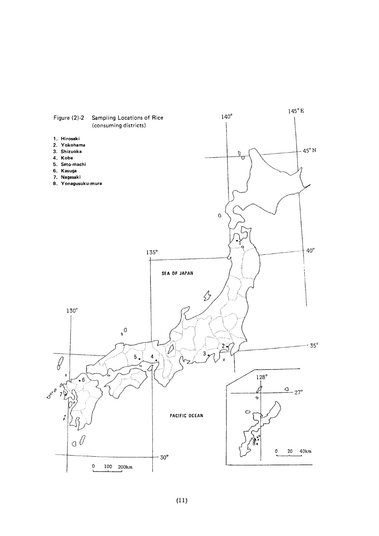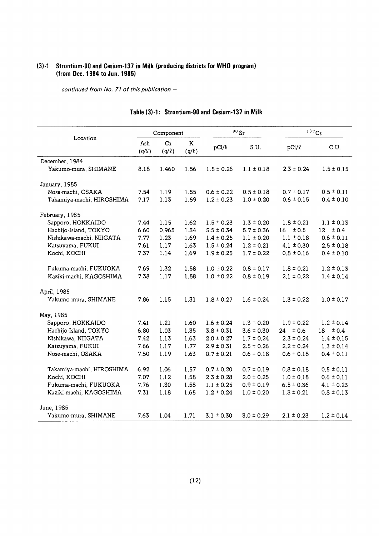#### (3)-1 Strontium-90 and Cesium-137 in Milk (producing districts for WHO pi (from Dec. 1984 to Jun. 1!

- continued from No. 71 of this publication -

|                           |                   | Component        |                       |                   | 90Sr           | 137C <sub>S</sub> |                |
|---------------------------|-------------------|------------------|-----------------------|-------------------|----------------|-------------------|----------------|
| Location                  | Ash<br>$(g/\ell)$ | Ca<br>$(g/\ell)$ | $\bf K$<br>$(g/\ell)$ | pCi/ <sup>2</sup> | S.U.           | $pCi/\ell$        | C.U.           |
| December, 1984            |                   |                  |                       |                   |                |                   |                |
| Yakumo-mura, SHIMANE      | 8.18              | 1.460            | 1.56                  | $1.5 \pm 0.26$    | $1.1 \pm 0.18$ | $2.3 \pm 0.24$    | $1.5 \pm 0.15$ |
| January, 1985             |                   |                  |                       |                   |                |                   |                |
| Nose-machi, OSAKA         | 7.54              | 1.19             | 1.55                  | $0.6 \pm 0.22$    | $0.5 \pm 0.18$ | $0.7 \pm 0.17$    | $0.5 \pm 0.11$ |
| Takamiya-machi, HIROSHIMA | 7.17              | 1.13             | 1.59                  | $1.2 \pm 0.23$    | $1.0 \pm 0.20$ | $0.6 \pm 0.15$    | $0.4 \pm 0.10$ |
| February, 1985            |                   |                  |                       |                   |                |                   |                |
| Sapporo, HOKKAIDO         | 7.44              | 1.15             | 1.62                  | $1.5 \pm 0.23$    | $1.3 \pm 0.20$ | $1.8 \pm 0.21$    | $1.1 \pm 0.13$ |
| Hachijo-Island, TOKYO     | 6.60              | 0.965            | 1.34                  | $5.5 \pm 0.34$    | $5.7 \pm 0.36$ | 16<br>± 0.5       | ± 0.4<br>12    |
| Nishikawa-machi, NIIGATA  | 7.77              | 1.23             | 1.69                  | $1.4 \pm 0.25$    | $1.1 \pm 0.20$ | $1.1 \pm 0.18$    | $0.6 \pm 0.11$ |
| Katsuyama, FUKUI          | 7.61              | 1.17             | 1.63                  | $1.5 \pm 0.24$    | $1.2 \pm 0.21$ | $4.1 \pm 0.30$    | $2.5 \pm 0.18$ |
| Kochi, KOCHI              | 7.37              | 1.14             | 1.69                  | $1.9 \pm 0.25$    | $1.7 \pm 0.22$ | $0.8 \pm 0.16$    | $0.4 \pm 0.10$ |
| Fukuma-machi, FUKUOKA     | 7.69              | 1.32             | 1.58                  | $1.0 \pm 0.22$    | $0.8 \pm 0.17$ | $1.8 \pm 0.21$    | $1.2 \pm 0.13$ |
| Kaziki-machi, KAGOSHIMA   | 7.38              | 1.17             | 1.58                  | $1.0 \pm 0.22$    | $0.8 \pm 0.19$ | $2.1 \pm 0.22$    | $1.4 \pm 0.14$ |
| April, 1985               |                   |                  |                       |                   |                |                   |                |
| Yakumo-mura, SHIMANE      | 7.86              | 1.15             | 1.31                  | $1.8 \pm 0.27$    | $1.6 \pm 0.24$ | $1.3 \pm 0.22$    | $1.0 \pm 0.17$ |
| May, 1985                 |                   |                  |                       |                   |                |                   |                |
| Sapporo, HOKKAIDO         | 7.41              | 1.21             | 1.60                  | $1.6 \pm 0.24$    | $1.3 \pm 0.20$ | $1.9 \pm 0.22$    | $1.2 \pm 0.14$ |
| Hachijo-Island, TOKYO     | 6.80              | 1.03             | 1.35                  | $3.8 \pm 0.31$    | $3.6 \pm 0.30$ | $24 \pm 0.6$      | $18 \pm 0.4$   |
| Nishikawa, NIIGATA        | 7.42              | 1.13             | 1.63                  | $2.0 \pm 0.27$    | $1.7 \pm 0.24$ | $2.3 \pm 0.24$    | $1.4 \pm 0.15$ |
| Katsuyama, FUKUI          | 7.66              | 1.17             | 1.77                  | $2.9 \pm 0.31$    | $2.5 \pm 0.26$ | $2.2 \pm 0.24$    | $1.3 \pm 0.14$ |
| Nose-machi, OSAKA         | 7.50              | 1.19             | 1.63                  | $0.7 \pm 0.21$    | $0.6 \pm 0.18$ | $0.6 \pm 0.18$    | $0.4 \pm 0.11$ |
| Takamiya-machi, HIROSHIMA | 6.92              | 1.06             | 1.57                  | $0.7 \pm 0.20$    | $0.7 \pm 0.19$ | $0.8 \pm 0.18$    | $0.5 \pm 0.11$ |
| Kochi, KOCHI              | 7.07              | 1.12             | 1.58                  | $2.3 \pm 0.28$    | $2.0 \pm 0.25$ | $1.0 \pm 0.18$    | $0.6 \pm 0.11$ |
| Fukuma-machi, FUKUOKA     | 7.76              | 1.30             | 1.58                  | $1.1 \pm 0.25$    | $0.9 \pm 0.19$ | $6.5 \pm 0.36$    | $4.1 \pm 0.23$ |
| Kaziki-machi, KAGOSHIMA   | 7.31              | 1.18             | 1.65                  | $1.2 \pm 0.24$    | $1.0 \pm 0.20$ | $1.3 \pm 0.21$    | $0.8 \pm 0.13$ |
| June, 1985                |                   |                  |                       |                   |                |                   |                |
| Yakumo-mura, SHIMANE      | 7.63              | 1.04             | 1.71                  | $3.1 \pm 0.30$    | $3.0 \pm 0.29$ | $2.1 \pm 0.23$    | $1.2 \pm 0.14$ |

#### Table (3)-1: Strontium-90 and Cesium-137 in Milk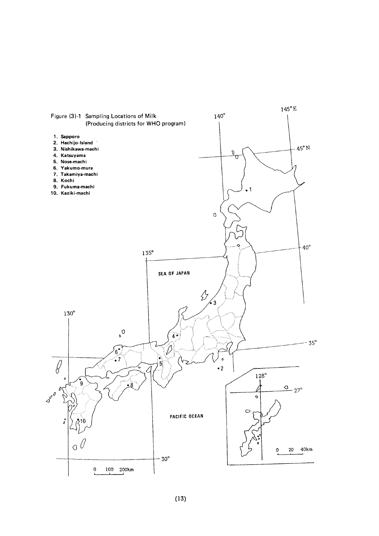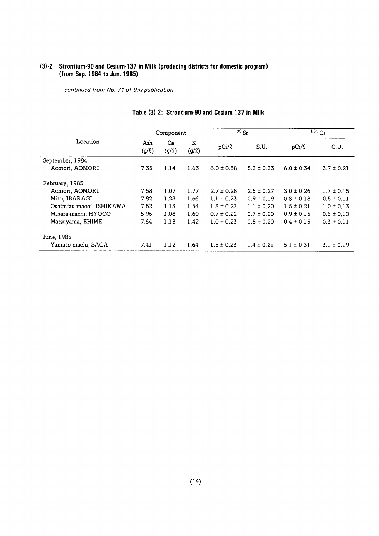#### (3)-2 Strontium-90 and Cesium-137 in Milk (producing districts for domestic prog (from Sep. 1984 to Jun. 19

- continued from No. 71 of this publication -

|                          |                   | Component        |                 |                | 90Sr           | 137Cs          |                |
|--------------------------|-------------------|------------------|-----------------|----------------|----------------|----------------|----------------|
| Location                 | Ash<br>$(g/\ell)$ | Ca<br>$(g/\ell)$ | K<br>$(g/\ell)$ | $pCi/\ell$     | S.U.           | $pCi/\ell$     | C.U.           |
| September, 1984          |                   |                  |                 |                |                |                |                |
| Aomori, AOMORI           | 7.35              | 1.14             | 1.63            | $6.0 \pm 0.38$ | $5.3 \pm 0.33$ | $6.0 \pm 0.34$ | $3.7 \pm 0.21$ |
| February, 1985           |                   |                  |                 |                |                |                |                |
| Aomori, AOMORI           | 7.58              | 1.07             | 1.77            | $2.7 \pm 0.28$ | $2.5 \pm 0.27$ | $3.0 \pm 0.26$ | $1.7 \pm 0.15$ |
| Mito, IBARAGI            | 7.82              | 1.23             | 1.66            | $1.1 \pm 0.23$ | $0.9 \pm 0.19$ | $0.8 \pm 0.18$ | $0.5 \pm 0.11$ |
| Oshimizu-machi, ISHIKAWA | 7.52              | 1.13             | 1.54            | $1.3 \pm 0.23$ | $1.1 \pm 0.20$ | $1.5 \pm 0.21$ | $1.0 \pm 0.13$ |
| Mihara-machi, HYOGO      | 6.96              | 1.08             | 1.60            | $0.7 \pm 0.22$ | $0.7 \pm 0.20$ | $0.9 \pm 0.15$ | $0.6 \pm 0.10$ |
| Matsuyama, EHIME         | 7.64              | 1.18             | 1.42            | $1.0 \pm 0.23$ | $0.8 \pm 0.20$ | $0.4 \pm 0.15$ | $0.3 \pm 0.11$ |
| June, 1985               |                   |                  |                 |                |                |                |                |
| Yamato-machi, SAGA       | 7.41              | 1.12             | 1.64            | $1.5 \pm 0.23$ | $1.4 \pm 0.21$ | $5.1 \pm 0.31$ | $3.1 \pm 0.19$ |

#### Table (3)-2: Strontium-90 and Cesium-137 in Milk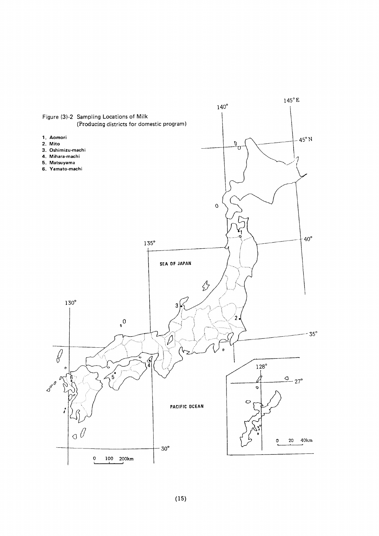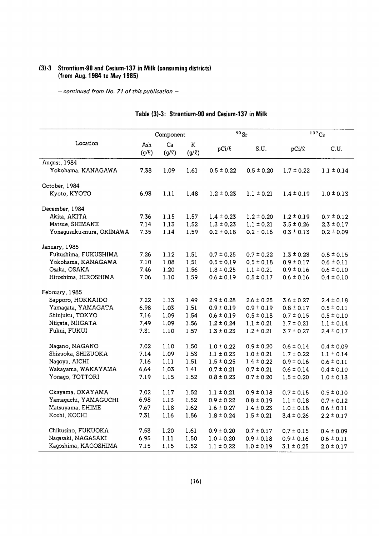#### (3)-3 Strontium-90 and Cesium-137 in Milk (consuming distric (from Aug. 1984 to May  $^{\circ}$

 $-$  continued from No. 71 of this publication  $-$ 

|                          | Component    |                  |                 | $^{90}\rm{Sr}$ | 137Cs          |                |                |
|--------------------------|--------------|------------------|-----------------|----------------|----------------|----------------|----------------|
| Location                 | Ash<br>(g/R) | Ca<br>$(g/\ell)$ | K<br>$(g/\ell)$ | $pCi/\ell$     | S.U.           | $pCi/\ell$     | C.U.           |
| August, 1984             |              |                  |                 |                |                |                |                |
| Yokohama, KANAGAWA       | 7.38         | 1.09             | 1.61            | $0.5 \pm 0.22$ | $0.5 \pm 0.20$ | $1.7 \pm 0.22$ | $1.1 \pm 0.14$ |
| October, 1984            |              |                  |                 |                |                |                |                |
| Kyoto, KYOTO             | 6.93         | 1.11             | 1.48            | $1.2 \pm 0.23$ | $1.1 \pm 0.21$ | $1.4 \pm 0.19$ | $1.0 \pm 0.13$ |
| December, 1984           |              |                  |                 |                |                |                |                |
| Akita, AKITA             | 7.36         | 1.15             | 1.57            | $1.4 \pm 0.23$ | $1.2 \pm 0.20$ | $1.2 \pm 0.19$ | $0.7 \pm 0.12$ |
| Matsue, SHIMANE          | 7.14         | 1.13             | 1.52            | $1.3 \pm 0.23$ | $1.1 \pm 0.21$ | $3.5 \pm 0.26$ | $2.3 \pm 0.17$ |
| Yonagusuku-mura, OKINAWA | 7.35         | 1.14             | 1.59            | $0.2 \pm 0.18$ | $0.2 \pm 0.16$ | $0.3 \pm 0.13$ | $0.2 \pm 0.09$ |
| January, 1985            |              |                  |                 |                |                |                |                |
| Fukushima, FUKUSHIMA     | 7.26         | 1.12             | 1.51            | $0.7 \pm 0.25$ | $0.7 \pm 0.22$ | $1.3 \pm 0.23$ | $0.8 \pm 0.15$ |
| Yokohama, KANAGAWA       | 7.10         | 1.08             | 1.51            | $0.5 \pm 0.19$ | $0.5 \pm 0.18$ | $0.9 \pm 0.17$ | $0.6 \pm 0.11$ |
| Osaka, OSAKA             | 7.46         | 1.20             | 1.56            | $1.3 \pm 0.25$ | $1.1 \pm 0.21$ | $0.9 \pm 0.16$ | $0.6 \pm 0.10$ |
| Hiroshima, HIROSHIMA     | 7.06         | $1.10$           | 1.59            | $0.6 \pm 0.19$ | $0.5 \pm 0.17$ | $0.6 \pm 0.16$ | $0.4 \pm 0.10$ |
| February, 1985           |              |                  |                 |                |                |                |                |
| Sapporo, HOKKAIDO        | 7.22         | 1.13             | 1.49            | $2.9 \pm 0.28$ | $2.6 \pm 0.25$ | $3.6 \pm 0.27$ | $2.4 \pm 0.18$ |
| Yamagata, YAMAGATA       | 6.98         | 1.03             | 1.51            | $0.9 \pm 0.19$ | $0.9 \pm 0.19$ | $0.8 \pm 0.17$ | $0.5 \pm 0.11$ |
| Shinjuku, TOKYO          | 7.16         | 1.09             | 1.54            | $0.6 \pm 0.19$ | $0.5 \pm 0.18$ | $0.7 \pm 0.15$ | $0.5 \pm 0.10$ |
| Niigata, NIIGATA         | 7.49         | 1.09             | 1.56            | $1.2 \pm 0.24$ | $1.1 \pm 0.21$ | $1.7 \pm 0.21$ | $1.1 \pm 0.14$ |
| Fukui, FUKUI             | 7.31         | $1.10$           | 1.57            | $1.3 \pm 0.23$ | $1.2 \pm 0.21$ | $3.7 \pm 0.27$ | $2.4 \pm 0.17$ |
| Nagano, NAGANO           | 7.02         | 1.10             | 1.50            | $1.0 \pm 0.22$ | $0.9 \pm 0.20$ | $0.6 \pm 0.14$ | $0.4 \pm 0.09$ |
| Shizuoka, SHIZUOKA       | 7.14         | 1.09             | 1.53            | $1.1 \pm 0.23$ | $1.0 \pm 0.21$ | $1.7 \pm 0.22$ | $1.1 \pm 0.14$ |
| Nagoya, AICHI            | 7.16         | 1.11             | 1.51            | $1.5 \pm 0.25$ | $1.4 \pm 0.22$ | $0.9 \pm 0.16$ | $0.6 \pm 0.11$ |
| Wakayama, WAKAYAMA       | 6.64         | 1.03             | 1.41            | $0.7 \pm 0.21$ | $0.7 \pm 0.21$ | $0.6 \pm 0.14$ | $0.4 \pm 0.10$ |
| Yonago, TOTTORI          | 7.19         | 1.15             | 1.52            | $0.8 \pm 0.23$ | $0.7 \pm 0.20$ | $1.5 \pm 0.20$ | $1.0 \pm 0.13$ |
| Okayama, OKAYAMA         | 7.02         | 1.17             | 1.52            | $1.1 \pm 0.21$ | $0.9 \pm 0.18$ | $0.7 \pm 0.15$ | $0.5 \pm 0.10$ |
| Yamaguchi, YAMAGUCHI     | 6.98         | 1.13             | 1.52            | $0.9 \pm 0.22$ | $0.8 \pm 0.19$ | $1.1 \pm 0.18$ | $0.7 \pm 0.12$ |
| Matsuyama, EHIME         | 7.67         | 1.18             | 1.62            | $1.6 \pm 0.27$ | $1.4 \pm 0.23$ | $1.0 \pm 0.18$ | $0.6 \pm 0.11$ |
| Kochi, KOCHI             | 7.31         | 1.16             | 1.56            | $1.8 \pm 0.24$ | $1.5 \pm 0.21$ | $3.4 \pm 0.26$ | $2.2 \pm 0.17$ |
| Chikusino, FUKUOKA       | 7.53         | 1.20             | 1.61            | $0.9 \pm 0.20$ | $0.7 \pm 0.17$ | $0.7 \pm 0.15$ | $0.4 \pm 0.09$ |
| Nagasaki, NAGASAKI       | 6.95         | 1.11             | 1.50            | $1.0 \pm 0.20$ | $0.9 \pm 0.18$ | $0.9 \pm 0.16$ | $0.6 \pm 0.11$ |
| Kagoshima, KAGOSHIMA     | 7.15         | 1.15             | 1.52            | $1.1 \pm 0.22$ | $1.0 \pm 0.19$ | $3.1 \pm 0.25$ | $2.0 \pm 0.17$ |

#### Table (3)-3: Strontium-90 and Cesium-137 in Milk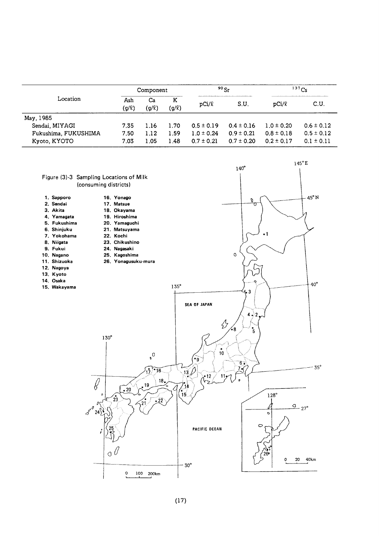|                                      |                   | Component        |                 |                                  | $90$ Sr                          | 137Cs                            |                                  |
|--------------------------------------|-------------------|------------------|-----------------|----------------------------------|----------------------------------|----------------------------------|----------------------------------|
| Location                             | Ash<br>$(q/\ell)$ | Ca<br>$(g/\ell)$ | к<br>$(g/\ell)$ | pCi/l                            | S.U.                             | pCi/R                            | C.U.                             |
| May, 1985                            |                   |                  |                 |                                  |                                  |                                  |                                  |
| Sendai, MIYAGI                       | 7.35              | 1.16             | 1.70            | $0.5 \pm 0.19$                   | $0.4 \pm 0.16$                   | $1.0 \pm 0.20$                   | $0.6 \pm 0.12$                   |
| Fukushima, FUKUSHIMA<br>Kyoto, KYOTO | 7.50<br>7.03      | 1.12<br>1.05     | 1.59<br>1.48    | $1.0 \pm 0.24$<br>$0.7 \pm 0.21$ | $0.9 \pm 0.21$<br>$0.7 \pm 0.20$ | $0.8 \pm 0.18$<br>$0.2 \pm 0.17$ | $0.5 \pm 0.12$<br>$0.1 \pm 0.11$ |

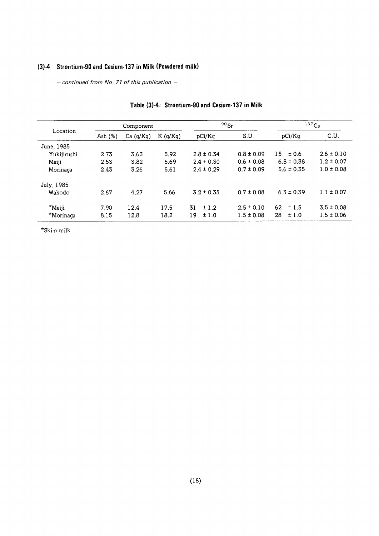# (3)-4 Strontium-90 and Cesium-137 in Milk (Powdered milk)

- continued from No. 71 of this publication -

|             |            | Component |         |                | $90$ Sr        | 137Cs          |                |
|-------------|------------|-----------|---------|----------------|----------------|----------------|----------------|
| Location    | Ash $(\%)$ | Ca (q/Kq) | K(q/Kq) | pCi/Kg         | S.U.           | pCi/Kq         | C.U.           |
| June, 1985  |            |           |         |                |                |                |                |
| Yukijirushi | 2.73       | 3.63      | 5.92    | $2.8 \pm 0.34$ | $0.8 \pm 0.09$ | $15 \pm 0.6$   | $2.6 \pm 0.10$ |
| Meiji       | 2.53       | 3.82      | 5.69    | $2.4 \pm 0.30$ | $0.6 \pm 0.08$ | $6.8 \pm 0.38$ | $1.2 \pm 0.07$ |
| Morinaga    | 2.43       | 3.26      | 5.61    | $2.4 \pm 0.29$ | $0.7 \pm 0.09$ | $5.6 \pm 0.35$ | $1.0 \pm 0.08$ |
| July, 1985  |            |           |         |                |                |                |                |
| Wakodo      | 2.67       | 4.27      | 5.66    | $3.2 \pm 0.35$ | $0.7 \pm 0.08$ | $6.3 \pm 0.39$ | $1.1 \pm 0.07$ |
| $*$ Meiji   | 7.90       | 12.4      | 17.5    | 31<br>±1.2     | $2.5 \pm 0.10$ | 62<br>±1.5     | $3.5 \pm 0.08$ |
| *Morinaga   | 8.15       | 12.8      | 18.2    | 19<br>±1.0     | $1.5 \pm 0.08$ | 28<br>±1.0     | $1.5 \pm 0.06$ |

#### Table (3)-4: Strontium-90 and Cesium-137 in Milk

 $^{\star}$ Skim milk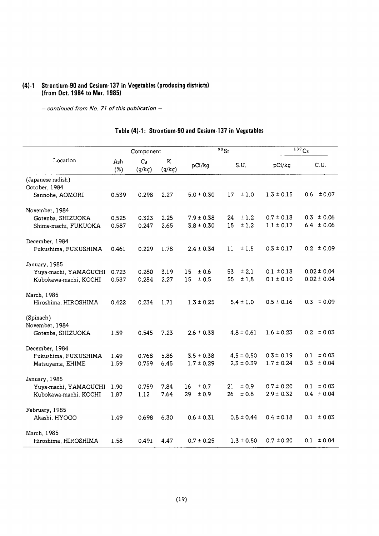#### (4)-1 Strontium-90 and Cesium-137 in Vegetables (producing distri (from Oct. 1984 to Mar. 1)

 $-$  continued from No. 71 of this publication  $-$ 

|                       | Component  |              |             |                | $\overline{90}$ Sr | $137C_s$       |                 |
|-----------------------|------------|--------------|-------------|----------------|--------------------|----------------|-----------------|
| Location              | Ash<br>(%) | Ca<br>(g/kg) | K<br>(g/kg) | pCi/kg         | S.U.               | pCi/kg         | C.U.            |
| (Japanese radish)     |            |              |             |                |                    |                |                 |
| October, 1984         |            |              |             |                |                    |                |                 |
| Sannohe, AOMORI       | 0.539      | 0.298        | 2.27        | $5.0 \pm 0.30$ | 17<br>±1.0         | $1.3 \pm 0.15$ | ± 0.07<br>0.6   |
| November, 1984        |            |              |             |                |                    |                |                 |
| Gotenba, SHIZUOKA     | 0.525      | 0.323        | 2.25        | $7.9 \pm 0.38$ | ±1.2<br>24         | $0.7 \pm 0.13$ | $0.3 \pm 0.06$  |
| Shime-machi, FUKUOKA  | 0.587      | 0.247        | 2.65        | $3.8 \pm 0.30$ | 15<br>±1.2         | $1.1 \pm 0.17$ | $6.4 \pm 0.06$  |
| December, 1984        |            |              |             |                |                    |                |                 |
| Fukushima, FUKUSHIMA  | 0.461      | 0.229        | 1.78        | $2.4 \pm 0.34$ | ±1.5<br>11.        | $0.3 \pm 0.17$ | $0.2 \pm 0.09$  |
| January, 1985         |            |              |             |                |                    |                |                 |
| Yuya-machi, YAMAGUCHI | 0.723      | 0.280        | 3.19        | 15<br>±0.6     | ± 2.1<br>53.       | $0.1 \pm 0.13$ | $0.02 \pm 0.04$ |
| Kubokawa-machi, KOCHI | 0.537      | 0.284        | 2.27        | ± 0.5<br>15    | 55<br>±1.8         | $0.1 \pm 0.10$ | $0.02 \pm 0.04$ |
| March, 1985           |            |              |             |                |                    |                |                 |
| Hiroshima, HIROSHIMA  | 0.422      | 0.234        | 1.71        | $1.3 \pm 0.25$ | $5.4 \pm 1.0$      | $0.5 \pm 0.16$ | $0.3 \pm 0.09$  |
| (Spinach)             |            |              |             |                |                    |                |                 |
| November, 1984        |            |              |             |                |                    |                |                 |
| Gotenba, SHIZUOKA     | 1.59       | 0.545        | 7.23        | $2.6 \pm 0.33$ | $4.8 \pm 0.61$     | $1.6 \pm 0.23$ | $0.2 \pm 0.03$  |
| December, 1984        |            |              |             |                |                    |                |                 |
| Fukushima, FUKUSHIMA  | 1.49       | 0.768        | 5.86        | $3.5 \pm 0.38$ | $4.5 \pm 0.50$     | $0.3 \pm 0.19$ | ± 0.03<br>0.1   |
| Matsuyama, EHIME      | 1.59       | 0.759        | 6.45        | $1.7 \pm 0.29$ | $2.3 \pm 0.39$     | $1.7 \pm 0.24$ | 0.3<br>± 0.04   |
| January, 1985         |            |              |             |                |                    |                |                 |
| Yuya-machi, YAMAGUCHI | 1.90       | 0.759        | 7.84        | ± 0.7<br>16    | ± 0.9<br>21.       | $0.7 \pm 0.20$ | ± 0.03<br>0.1   |
| Kubokawa-machi, KOCHI | 1.87       | 1.12         | 7.64        | 29<br>± 0.9    | ± 0.8<br>26        | $2.9 \pm 0.32$ | ± 0.04<br>0.4   |
| February, 1985        |            |              |             |                |                    |                |                 |
| Akashi, HYOGO         | 1.49       | 0.698        | 6.30        | $0.6 \pm 0.31$ | $0.8 \pm 0.44$     | $0.4 \pm 0.18$ | $0.1 \pm 0.03$  |
| March, 1985           |            |              |             |                |                    |                |                 |
| Hiroshima, HIROSHIMA  | 1.58       | 0.491        | 4.47        | $0.7 \pm 0.25$ | $1.3 \pm 0.50$     | $0.7 \pm 0.20$ | $0.1 \pm 0.04$  |

# Table (4)-1: Strontium-90 and Cesium-137 in Vegetables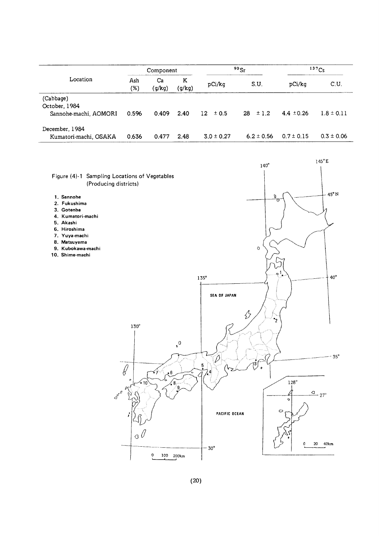|                                         | Component  |              |             | 90Sr           |                | $137C_S$       |                |
|-----------------------------------------|------------|--------------|-------------|----------------|----------------|----------------|----------------|
| Location                                | Ash<br>(%) | Ca<br>(g/kg) | Κ<br>(g/kg) | pCi/kg         | S.U.           | pCi/kg         | C.U.           |
| (Cabbage)<br>October, 1984              | 0.596      | 0.409        | 2.40        | $12 \pm 0.5$   | $28 \pm 1.2$   | $4.4 \pm 0.26$ | $1.8 \pm 0.11$ |
| Sannohe-machi, AOMORI<br>December, 1984 |            |              |             |                |                |                |                |
| Kumatori-machi, OSAKA                   | 0.636      | 0.477        | 2.48        | $3.0 \pm 0.27$ | $6.2 \pm 0.56$ | $0.7 \pm 0.15$ | $0.3 \pm 0.06$ |

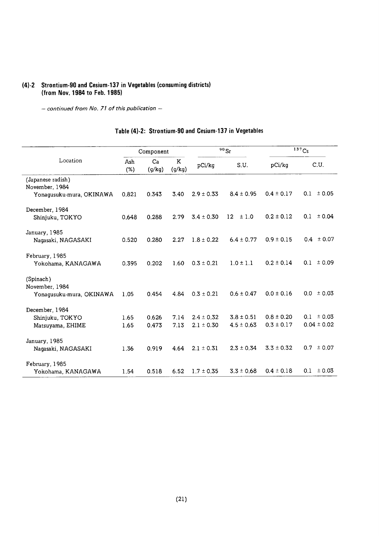## (4)-2 Strontium-90 and Cesium-137 in Vegetables (consuming districts) (from Nov. 1984 to Feb. 1985)

- continued from No. 71 of this publication -

|                          | Component  |              |             |                | $90$ Sr        | $137$ Cs       |                 |
|--------------------------|------------|--------------|-------------|----------------|----------------|----------------|-----------------|
| Location                 | Ash<br>(%) | Ca<br>(g/kg) | K<br>(g/kg) | pCi/kg         | S.U.           | pCi/kg         | C.U.            |
| (Japanese radish)        |            |              |             |                |                |                |                 |
| November, 1984           |            |              |             |                |                |                |                 |
| Yonaqusuku-mura, OKINAWA | 0.821      | 0.343        | 3.40        | $2.9 \pm 0.33$ | $8.4 \pm 0.95$ | $0.4 \pm 0.17$ | ± 0.05<br>0.1   |
| December, 1984           |            |              |             |                |                |                |                 |
| Shinjuku, TOKYO          | 0.648      | 0.288        | 2.79        | $3.4 \pm 0.30$ | 12<br>±1.0     | $0.2 \pm 0.12$ | 0.1<br>± 0.04   |
| January, 1985            |            |              |             |                |                |                |                 |
| Nagasaki, NAGASAKI       | 0.520      | 0.280        | 2.27        | $1.8 \pm 0.22$ | $6.4 \pm 0.77$ | $0.9 \pm 0.15$ | $0.4 \pm 0.07$  |
|                          |            |              |             |                |                |                |                 |
| February, 1985           |            |              |             |                |                |                |                 |
| Yokohama, KANAGAWA       | 0.395      | 0.202        | 1.60        | $0.3 \pm 0.21$ | $1.0 \pm 1.1$  | $0.2 \pm 0.14$ | ±0.09<br>0.1    |
| (Spinach)                |            |              |             |                |                |                |                 |
| November, 1984           |            |              |             |                |                |                |                 |
| Yonaqusuku-mura, OKINAWA | 1.05       | 0.454        | 4.84        | $0.3 \pm 0.21$ | $0.6 \pm 0.47$ | $0.0 \pm 0.16$ | ± 0.03<br>0.0   |
|                          |            |              |             |                |                |                |                 |
| December, 1984           |            |              |             |                |                |                |                 |
| Shinjuku, TOKYO          | 1.65       | 0.626        | 7.14        | $2.4 \pm 0.32$ | $3.8 \pm 0.51$ | $0.8 \pm 0.20$ | ± 0.03<br>0.1   |
| Matsuyama, EHIME         | 1.65       | 0.473        | 7.13        | $2.1 \pm 0.30$ | $4.5 \pm 0.63$ | $0.3 \pm 0.17$ | $0.04 \pm 0.02$ |
| January, 1985            |            |              |             |                |                |                |                 |
| Nagasaki, NAGASAKI       | 1.36       | 0.919        | 4.64        | $2.1 \pm 0.31$ | $2.3 \pm 0.34$ | $3.3 \pm 0.32$ | ± 0.07<br>0.7   |
|                          |            |              |             |                |                |                |                 |
| February, 1985           |            |              |             |                |                |                |                 |
| Yokohama, KANAGAWA       | 1.54       | 0.518        | 6.52        | $1.7 \pm 0.35$ | $3.3 \pm 0.68$ | $0.4 \pm 0.18$ | 0.1<br>± 0.03   |

# Table (4)-2: Strontium-90 and Cesium-137 in Vegetables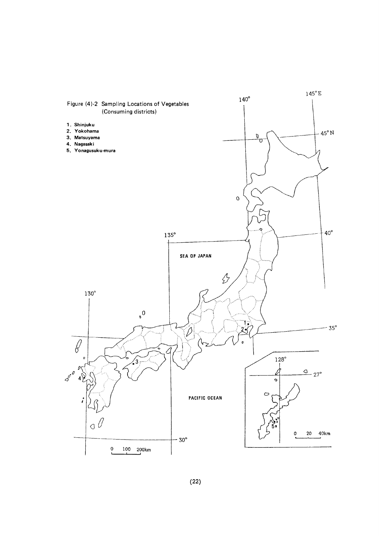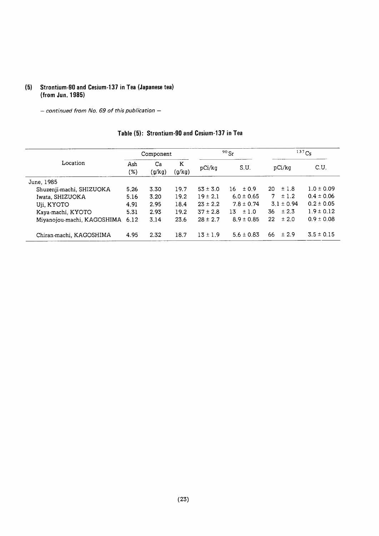#### (5) Strontium-90 and Cesium-137 in Tea (Japane (from Jun. 198

- continued from No. 69 of this publication -

|                            | Component  |              | $90$ Sr     |              | $137$ Cs       |                 |                |
|----------------------------|------------|--------------|-------------|--------------|----------------|-----------------|----------------|
| Location                   | Ash<br>(%) | Ca<br>(g/kg) | Κ<br>(g/kg) | pCi/kg       | S.U.           | pCi/kg          | C.U.           |
| June, 1985                 |            |              |             |              |                |                 |                |
| Shuzenji-machi, SHIZUOKA   | 5.26       | 3.30         | 19.7        | $53 \pm 3.0$ | ±0.9<br>16     | ±1.8<br>20      | $1.0 \pm 0.09$ |
| Iwata, SHIZUOKA            | 5.16       | 3.20         | 19.2        | $19 \pm 2.1$ | $6.0 \pm 0.65$ | ±1.2<br>7       | $0.4 \pm 0.06$ |
| Uji, KYOTO                 | 4.91       | 2.95         | 18.4        | $23 \pm 2.2$ | $7.8 \pm 0.74$ | $3.1 \pm 0.94$  | $0.2 \pm 0.05$ |
| Kaya-machi, KYOTO          | 5.31       | 2.93         | 19.2        | $37 \pm 2.8$ | $13 + 1.0$     | $\pm 2.3$<br>36 | $1.9 \pm 0.12$ |
| Miyanojou-machi, KAGOSHIMA | 6.12       | 3.14         | 23.6        | $28 \pm 2.7$ | $8.9 \pm 0.85$ | ± 2.0<br>22     | $0.9 \pm 0.08$ |
| Chiran-machi, KAGOSHIMA    | 4.95       | 2.32         | 18.7        | $13 \pm 1.9$ | $5.6 \pm 0.83$ | 66<br>±2.9      | $3.5 \pm 0.15$ |

#### Table (5): Strontium-90 and Cesium-137 in Tea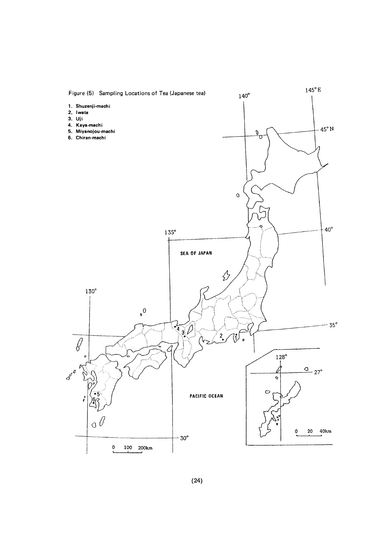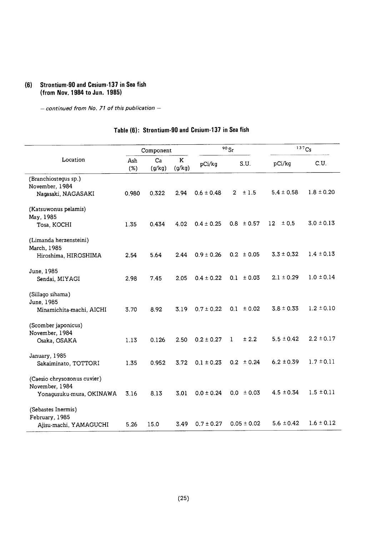## (6) Strontium-90 and Cesium-137 in Sea fish (from Nov. 1984 to Jun. 1985)

 $-$  continued from No. 71 of this publication  $-$ 

## Table (6): Strontium-90 and Cesium-137 in Sea fish

|                                       |            | Component    |             |                | $^{90}\rm{Sr}$         | 137Cs          |                |
|---------------------------------------|------------|--------------|-------------|----------------|------------------------|----------------|----------------|
| Location                              | Ash<br>(%) | Ca<br>(g/kg) | K<br>(g/kg) | pCi/kg         | S.U.                   | pCi/kg         | C.U.           |
| (Branchiostegus sp.)                  |            |              |             |                |                        |                |                |
| November, 1984<br>Nagasaki, NAGASAKI  | 0.980      | 0.322        | 2.94        | $0.6 \pm 0.48$ | $\overline{2}$<br>±1.5 | $5.4 \pm 0.58$ | $1.8 \pm 0.20$ |
|                                       |            |              |             |                |                        |                |                |
| (Katsuwonus pelamis)                  |            |              |             |                |                        |                |                |
| May, 1985<br>Tosa, KOCHI              | 1.35       | 0.434        | 4.02        | $0.4 \pm 0.25$ | $0.8 \pm 0.57$         | 12<br>± 0.5    | $3.0 \pm 0.13$ |
|                                       |            |              |             |                |                        |                |                |
| (Limanda herzensteini)                |            |              |             |                |                        |                |                |
| March, 1985                           | 2.54       | 5.64         | 2.44        | $0.9 \pm 0.26$ | $0.2 \pm 0.05$         | $3.3 \pm 0.32$ | $1.4 \pm 0.13$ |
| Hiroshima, HIROSHIMA                  |            |              |             |                |                        |                |                |
| June, 1985                            |            |              |             |                |                        |                |                |
| Sendai, MIYAGI                        | 2.98       | 7.45         | 2.05        | $0.4 \pm 0.22$ | $0.1 \pm 0.03$         | $2.1 \pm 0.29$ | $1.0 \pm 0.14$ |
| (Sillago sihama)                      |            |              |             |                |                        |                |                |
| June, 1985                            |            |              |             |                |                        |                |                |
| Minamichita-machi, AICHI              | 3.70       | 8.92         | 3.19        | $0.7 \pm 0.22$ | ± 0.02<br>0.1          | $3.8 \pm 0.33$ | $1.2 \pm 0.10$ |
|                                       |            |              |             |                |                        |                |                |
| (Scomber japonicus)<br>November, 1984 |            |              |             |                |                        |                |                |
| Osaka, OSAKA                          | 1.13       | 0.126        | 2.50        | $0.2 \pm 0.27$ | ± 2.2<br>$\mathbf{1}$  | $5.5 \pm 0.42$ | $2.2 \pm 0.17$ |
|                                       |            |              |             |                |                        |                |                |
| January, 1985<br>Sakaiminato, TOTTORI | 1.35       | 0.952        | 3.72        | $0.1 \pm 0.23$ | $0.2 \pm 0.24$         | $6.2 \pm 0.39$ | $1.7 \pm 0.11$ |
|                                       |            |              |             |                |                        |                |                |
| (Caesio chrysozonus cuvier)           |            |              |             |                |                        |                |                |
| November, 1984                        |            |              |             |                |                        |                | $1.5 \pm 0.11$ |
| Yonagusuku-mura, OKINAWA              | 3.16       | 8.13         | 3.01        | $0.0 \pm 0.24$ | $0.0 \pm 0.03$         | $4.5 \pm 0.34$ |                |
| (Sebastes Inermis)                    |            |              |             |                |                        |                |                |
| February, 1985                        |            |              |             |                |                        |                |                |
| Ajisu-machi, YAMAGUCHI                | 5.26       | 15.0         | 3.49        | $0.7 \pm 0.27$ | $0.05 \pm 0.02$        | $5.6 \pm 0.42$ | $1.6 \pm 0.12$ |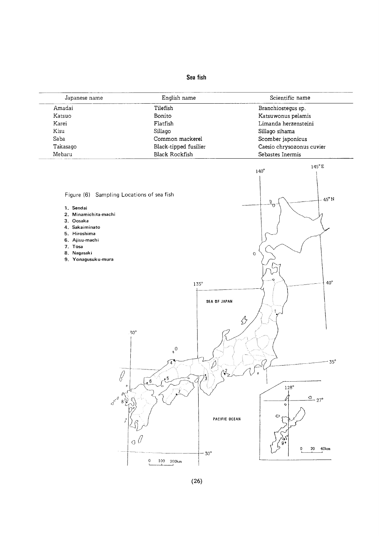# Sea fish

| Japanese name                             | English name                        | Scientific name                |
|-------------------------------------------|-------------------------------------|--------------------------------|
| Amadai                                    | Tilefish                            | Branchiostegus sp.             |
| Katsuo                                    | Bonito                              | Katsuwonus pelamis             |
| Karei                                     | Flatfish                            | Limanda herzensteini           |
| Kisu                                      | Sillago                             | Sillago sihama                 |
| Saba                                      | Common mackerel                     | Scomber japonicus              |
| Takasago                                  | Black-tipped fusilier               | Caesio chrysozonus cuvier      |
| Mebaru                                    | <b>Black Rockfish</b>               | Sebastes Inermis               |
|                                           |                                     | $145^{\circ}$ E<br>$140^\circ$ |
|                                           |                                     |                                |
|                                           |                                     |                                |
| Figure (6) Sampling Locations of sea fish |                                     | $45^{\circ}$ N                 |
| 1. Sendai                                 |                                     | $\overline{\rho}^{\Omega}$     |
| 2. Minamichita-machi                      |                                     |                                |
| 3. Oosaka                                 |                                     |                                |
| 4. Sakaiminato                            |                                     |                                |
| 5. Hiroshima                              |                                     |                                |
| 6. Ajisu-machi<br>7. Tosa                 |                                     |                                |
| 8. Nagasaki                               |                                     | $\rm{O}$                       |
| 9. Yonagusuku-mura                        |                                     |                                |
|                                           |                                     |                                |
|                                           |                                     |                                |
|                                           | $135^\circ$                         | $40^\circ$                     |
|                                           |                                     |                                |
|                                           | SEA OF JAPAN                        |                                |
|                                           |                                     |                                |
|                                           |                                     |                                |
|                                           |                                     | B                              |
|                                           | $.30^{\circ}$                       |                                |
|                                           |                                     |                                |
|                                           | $\sigma$                            |                                |
|                                           |                                     |                                |
|                                           |                                     | $35^\circ$                     |
|                                           |                                     |                                |
| ୪                                         | $\cdot$ 5<br>$\bullet$ <sup>6</sup> |                                |
|                                           |                                     | $128^\circ$                    |
|                                           |                                     | $\frac{Q}{27}$                 |
| $\boldsymbol{\mathcal{S}}^{\circ}$<br>8   |                                     | ۰                              |
|                                           |                                     | $\circ$                        |
|                                           |                                     |                                |
|                                           |                                     | PACIFIC OCEAN                  |
|                                           |                                     |                                |
|                                           |                                     |                                |
|                                           | a €                                 | 20 40km<br>0                   |

 $0$  100 200km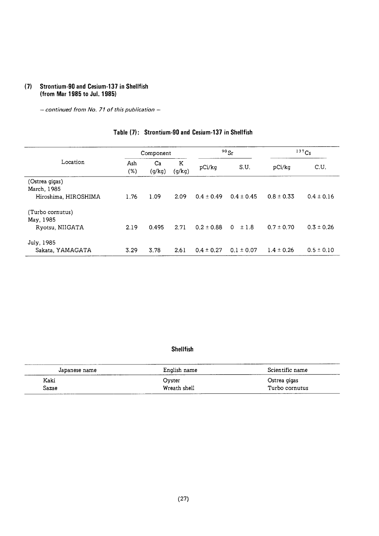#### (7) Strontium-90 and Cesium-137 in Shellfish (from Mar 1985 to Jul. 1985)

- continued from No. 71 of this publication -

# Table (7): Strontium-90 and Cesium-137 in Shellfish

|                      |               | Component    |             | 90Sr           |                | 137Cs          |                |
|----------------------|---------------|--------------|-------------|----------------|----------------|----------------|----------------|
| Location             | Ash<br>$(\%)$ | Ca<br>(g/kg) | Κ<br>(g/kg) | pCi/kg         | S.U.           | pCi/kq         | C.U.           |
| (Ostrea gigas)       |               |              |             |                |                |                |                |
| March, 1985          |               |              |             |                |                |                |                |
| Hiroshima, HIROSHIMA | 1.76          | 1.09         | 2.09        | $0.4 \pm 0.49$ | $0.4 \pm 0.45$ | $0.8 \pm 0.33$ | $0.4 \pm 0.16$ |
| (Turbo cornutus)     |               |              |             |                |                |                |                |
| May, 1985            |               |              |             |                |                |                |                |
| Ryotsu, NIIGATA      | 2.19          | 0.495        | 2.71        | $0.2 \pm 0.88$ | $0 \pm 1.8$    | $0.7 \pm 0.70$ | $0.3 \pm 0.26$ |
| July, 1985           |               |              |             |                |                |                |                |
| Sakata, YAMAGATA     | 3.29          | 3.78         | 2.61        | $0.4 \pm 0.27$ | $0.1 \pm 0.07$ | $1.4 \pm 0.26$ | $0.5 \pm 0.10$ |

#### Shellfish

| Japanese name | English name | Scientific name |
|---------------|--------------|-----------------|
| Kaki          | Ovster       | Ostrea gigas    |
| Sazae         | Wreath shell | Turbo cornutus  |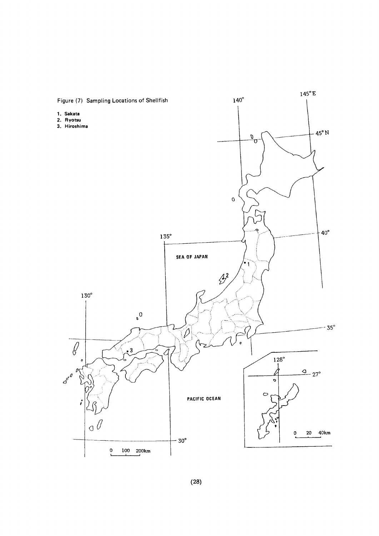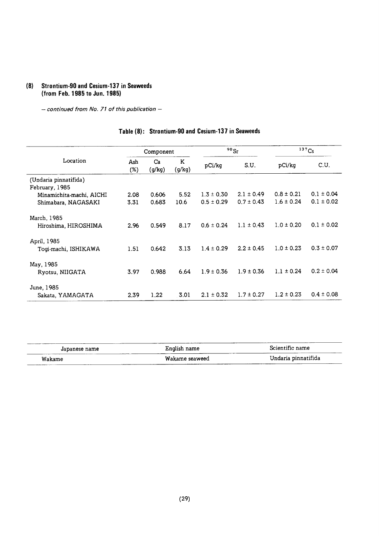#### (8) Strontium-90 and Cesium-137 in Seaweeds (from Feb. 1985 to Jun. 1985)

- continued from No. 71 of this publication -

#### $90Sr$  $137Cs$ Component Location Ash Ca <sup>K</sup> C.U. pCi/kg  $(%)$  (g/kg)  $(g/kg)$  pCi/kg S.U (Undaria pinnatifida) February,1985  $0.8 \pm 0.21$  $0.1 \pm 0.04$ 2.08 0.606 5.52 1.3 ± 0.30 2.1 ± 0.49 Minamichita-machi, AICHI 3.31 0.683 10.6 0.5±0.29 0.7±0.43  $1.6 \pm 0.24$  $0.1 \pm 0.02$ Shimabara, NAGASAKI March,1985 Hiroshima, HIROSHIMA 2.96 0.549 8.17 0.6±0.24 1.1±0.43  $1.0 \pm 0.20$  $0.1 \pm 0.02$ April,1985 1.51 0.642 3.13 1.4±0.29 2.2±0.45  $1.0 \pm 0.23$  $0.3 \pm 0.07$ Togi-machi, ISHIKAWA May,1985  $0.2 \pm 0.04$ 3.97 0.988 6.64 1.9±0.36 1.9±0.36  $1.1 \pm 0.24$ Ryotsu, NIIGATA June,1985 2.39 1.22 3.01 2.1±0.32 1.7±0.27  $1.2 \pm 0.23$  $0.4 \pm 0.08$ Sakata,YAMAGATA

#### Table (8): Strontium-90 and Cesium-137 in Seaweeds

| Japanese name | .<br>English name | Scientific name     |  |  |
|---------------|-------------------|---------------------|--|--|
| Wakame        | Wakame seaweed    | Undaria pinnatifida |  |  |